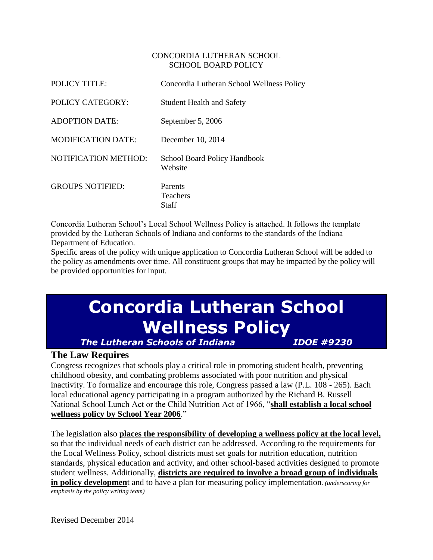#### CONCORDIA LUTHERAN SCHOOL SCHOOL BOARD POLICY

| <b>POLICY TITLE:</b>        | Concordia Lutheran School Wellness Policy      |
|-----------------------------|------------------------------------------------|
| POLICY CATEGORY:            | <b>Student Health and Safety</b>               |
| <b>ADOPTION DATE:</b>       | September 5, 2006                              |
| <b>MODIFICATION DATE:</b>   | December 10, 2014                              |
| <b>NOTIFICATION METHOD:</b> | <b>School Board Policy Handbook</b><br>Website |
| <b>GROUPS NOTIFIED:</b>     | Parents<br>Teachers<br>Staff                   |

Concordia Lutheran School's Local School Wellness Policy is attached. It follows the template provided by the Lutheran Schools of Indiana and conforms to the standards of the Indiana Department of Education.

Specific areas of the policy with unique application to Concordia Lutheran School will be added to the policy as amendments over time. All constituent groups that may be impacted by the policy will be provided opportunities for input.

# **Concordia Lutheran School Wellness Policy**

*The Lutheran Schools of Indiana IDOE #9230*

## **The Law Requires**

Congress recognizes that schools play a critical role in promoting student health, preventing childhood obesity, and combating problems associated with poor nutrition and physical inactivity. To formalize and encourage this role, Congress passed a law (P.L. 108 - 265). Each local educational agency participating in a program authorized by the Richard B. Russell National School Lunch Act or the Child Nutrition Act of 1966, "**shall establish a local school wellness policy by School Year 2006**."

The legislation also **places the responsibility of developing a wellness policy at the local level,** so that the individual needs of each district can be addressed. According to the requirements for the Local Wellness Policy, school districts must set goals for nutrition education, nutrition standards, physical education and activity, and other school-based activities designed to promote student wellness. Additionally, **districts are required to involve a broad group of individuals in policy developmen**t and to have a plan for measuring policy implementation. *(underscoring for emphasis by the policy writing team)*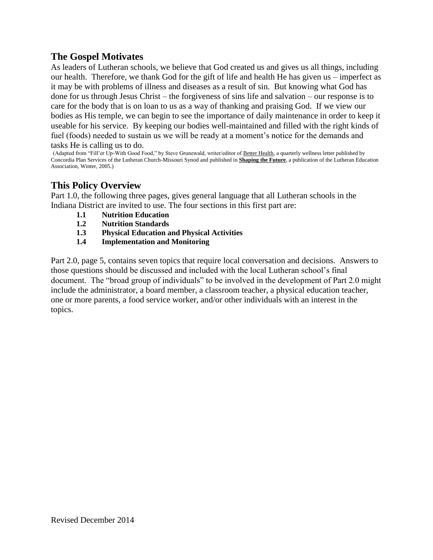## **The Gospel Motivates**

As leaders of Lutheran schools, we believe that God created us and gives us all things, including our health. Therefore, we thank God for the gift of life and health He has given us – imperfect as it may be with problems of illness and diseases as a result of sin. But knowing what God has done for us through Jesus Christ – the forgiveness of sins life and salvation – our response is to care for the body that is on loan to us as a way of thanking and praising God. If we view our bodies as His temple, we can begin to see the importance of daily maintenance in order to keep it useable for his service. By keeping our bodies well-maintained and filled with the right kinds of fuel (foods) needed to sustain us we will be ready at a moment's notice for the demands and tasks He is calling us to do.

(Adapted from "Fill'er Up-With Good Food," by Steve Grunewald, writer/editor of Better Health, a quarterly wellness letter published by Concordia Plan Services of the Lutheran Church-Missouri Synod and published in **Shaping the Future**, a publication of the Lutheran Education Association, Winter, 2005.)

### **This Policy Overview**

Part 1.0, the following three pages, gives general language that all Lutheran schools in the Indiana District are invited to use. The four sections in this first part are:

- **1.1 Nutrition Education**
- **1.2 Nutrition Standards**
- **1.3 Physical Education and Physical Activities**
- **1.4 Implementation and Monitoring**

Part 2.0, page 5, contains seven topics that require local conversation and decisions. Answers to those questions should be discussed and included with the local Lutheran school's final document. The "broad group of individuals" to be involved in the development of Part 2.0 might include the administrator, a board member, a classroom teacher, a physical education teacher, one or more parents, a food service worker, and/or other individuals with an interest in the topics.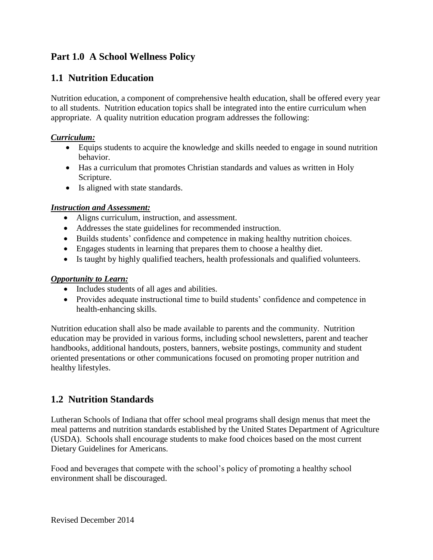## **Part 1.0 A School Wellness Policy**

## **1.1 Nutrition Education**

Nutrition education, a component of comprehensive health education, shall be offered every year to all students. Nutrition education topics shall be integrated into the entire curriculum when appropriate. A quality nutrition education program addresses the following:

#### *Curriculum:*

- Equips students to acquire the knowledge and skills needed to engage in sound nutrition behavior.
- Has a curriculum that promotes Christian standards and values as written in Holy Scripture.
- Is aligned with state standards.

#### *Instruction and Assessment:*

- Aligns curriculum, instruction, and assessment.
- Addresses the state guidelines for recommended instruction.
- Builds students' confidence and competence in making healthy nutrition choices.
- Engages students in learning that prepares them to choose a healthy diet.
- Is taught by highly qualified teachers, health professionals and qualified volunteers.

#### *Opportunity to Learn:*

- Includes students of all ages and abilities.
- Provides adequate instructional time to build students' confidence and competence in health-enhancing skills.

Nutrition education shall also be made available to parents and the community. Nutrition education may be provided in various forms, including school newsletters, parent and teacher handbooks, additional handouts, posters, banners, website postings, community and student oriented presentations or other communications focused on promoting proper nutrition and healthy lifestyles.

## **1.2 Nutrition Standards**

Lutheran Schools of Indiana that offer school meal programs shall design menus that meet the meal patterns and nutrition standards established by the United States Department of Agriculture (USDA). Schools shall encourage students to make food choices based on the most current Dietary Guidelines for Americans.

Food and beverages that compete with the school's policy of promoting a healthy school environment shall be discouraged.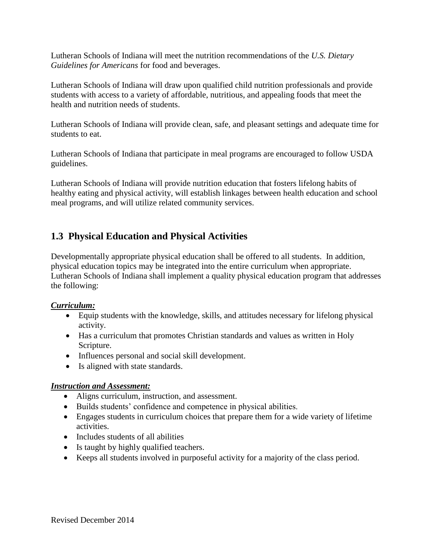Lutheran Schools of Indiana will meet the nutrition recommendations of the *U.S. Dietary Guidelines for Americans* for food and beverages.

Lutheran Schools of Indiana will draw upon qualified child nutrition professionals and provide students with access to a variety of affordable, nutritious, and appealing foods that meet the health and nutrition needs of students.

Lutheran Schools of Indiana will provide clean, safe, and pleasant settings and adequate time for students to eat.

Lutheran Schools of Indiana that participate in meal programs are encouraged to follow USDA guidelines.

Lutheran Schools of Indiana will provide nutrition education that fosters lifelong habits of healthy eating and physical activity, will establish linkages between health education and school meal programs, and will utilize related community services.

## **1.3 Physical Education and Physical Activities**

Developmentally appropriate physical education shall be offered to all students. In addition, physical education topics may be integrated into the entire curriculum when appropriate. Lutheran Schools of Indiana shall implement a quality physical education program that addresses the following:

#### *Curriculum:*

- Equip students with the knowledge, skills, and attitudes necessary for lifelong physical activity.
- Has a curriculum that promotes Christian standards and values as written in Holy Scripture.
- Influences personal and social skill development.
- Is aligned with state standards.

#### *Instruction and Assessment:*

- Aligns curriculum, instruction, and assessment.
- Builds students' confidence and competence in physical abilities.
- Engages students in curriculum choices that prepare them for a wide variety of lifetime activities.
- Includes students of all abilities
- Is taught by highly qualified teachers.
- Keeps all students involved in purposeful activity for a majority of the class period.